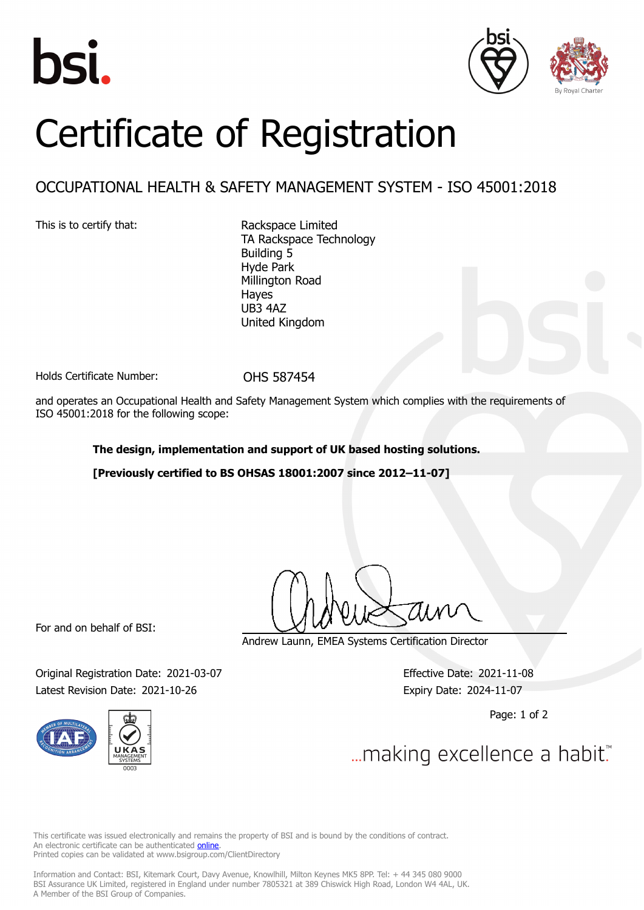





## Certificate of Registration

## OCCUPATIONAL HEALTH & SAFETY MANAGEMENT SYSTEM - ISO 45001:2018

This is to certify that: Rackspace Limited

TA Rackspace Technology Building 5 Hyde Park Millington Road Hayes UB3 4AZ United Kingdom

Holds Certificate Number: 0HS 587454

and operates an Occupational Health and Safety Management System which complies with the requirements of ISO 45001:2018 for the following scope:

**The design, implementation and support of UK based hosting solutions.**

**[Previously certified to BS OHSAS 18001:2007 since 2012–11-07]**

For and on behalf of BSI:

Andrew Launn, EMEA Systems Certification Director

Original Registration Date: 2021-03-07 Effective Date: 2021-11-08 Latest Revision Date: 2021-10-26 Expiry Date: 2024-11-07



Page: 1 of 2

... making excellence a habit.

This certificate was issued electronically and remains the property of BSI and is bound by the conditions of contract. An electronic certificate can be authenticated **[online](https://pgplus.bsigroup.com/CertificateValidation/CertificateValidator.aspx?CertificateNumber=OHS+587454&ReIssueDate=26%2f10%2f2021&Template=uk)**. Printed copies can be validated at www.bsigroup.com/ClientDirectory

Information and Contact: BSI, Kitemark Court, Davy Avenue, Knowlhill, Milton Keynes MK5 8PP. Tel: + 44 345 080 9000 BSI Assurance UK Limited, registered in England under number 7805321 at 389 Chiswick High Road, London W4 4AL, UK. A Member of the BSI Group of Companies.